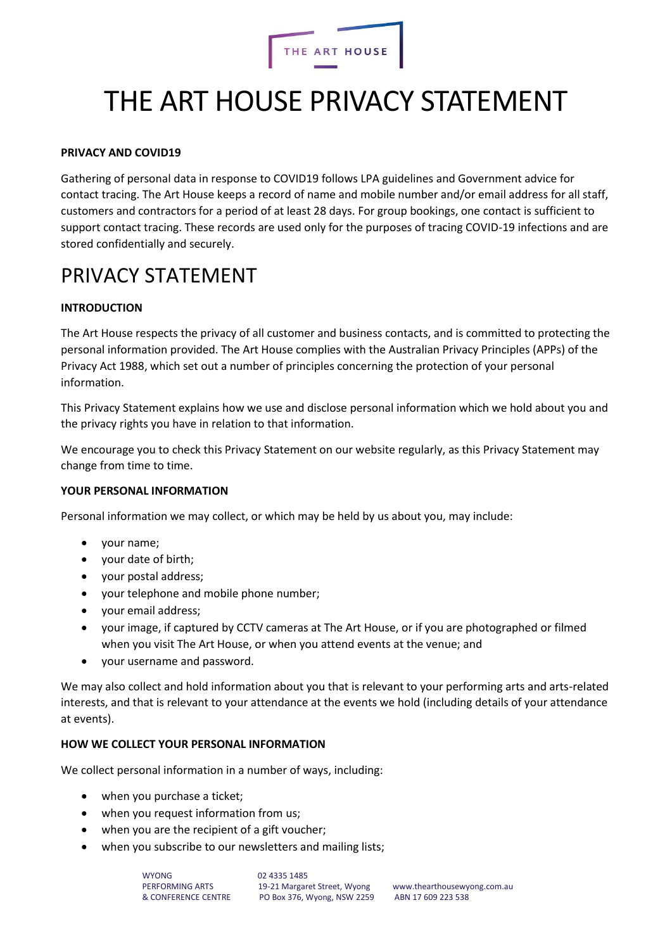

# THE ART HOUSE PRIVACY STATEMENT

#### **PRIVACY AND COVID19**

Gathering of personal data in response to COVID19 follows LPA guidelines and Government advice for contact tracing. The Art House keeps a record of name and mobile number and/or email address for all staff, customers and contractors for a period of at least 28 days. For group bookings, one contact is sufficient to support contact tracing. These records are used only for the purposes of tracing COVID-19 infections and are stored confidentially and securely.

# PRIVACY STATEMENT

# **INTRODUCTION**

The Art House respects the privacy of all customer and business contacts, and is committed to protecting the personal information provided. The Art House complies with the Australian Privacy Principles (APPs) of the Privacy Act 1988, which set out a number of principles concerning the protection of your personal information.

This Privacy Statement explains how we use and disclose personal information which we hold about you and the privacy rights you have in relation to that information.

We encourage you to check this Privacy Statement on our website regularly, as this Privacy Statement may change from time to time.

#### **YOUR PERSONAL INFORMATION**

Personal information we may collect, or which may be held by us about you, may include:

- your name;
- your date of birth;
- your postal address;
- your telephone and mobile phone number;
- your email address;
- your image, if captured by CCTV cameras at The Art House, or if you are photographed or filmed when you visit The Art House, or when you attend events at the venue; and
- your username and password.

We may also collect and hold information about you that is relevant to your performing arts and arts-related interests, and that is relevant to your attendance at the events we hold (including details of your attendance at events).

#### **HOW WE COLLECT YOUR PERSONAL INFORMATION**

We collect personal information in a number of ways, including:

- when you purchase a ticket;
- when you request information from us;
- when you are the recipient of a gift voucher;
- when you subscribe to our newsletters and mailing lists;

WYONG 02 4335 1485<br>
PERFORMING ARTS 19-21 Margar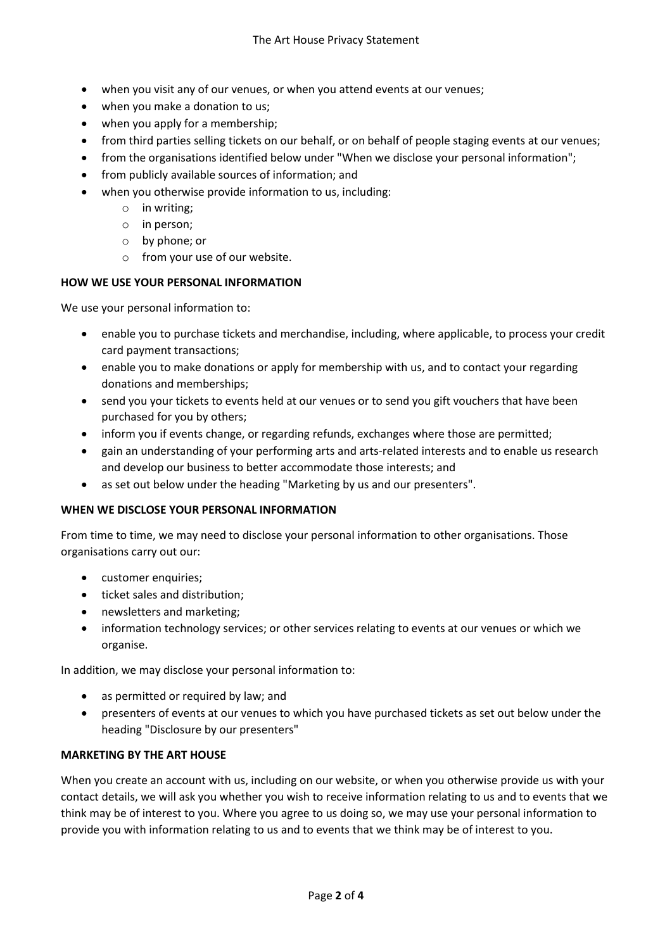- when you visit any of our venues, or when you attend events at our venues;
- when you make a donation to us;
- when you apply for a membership;
- from third parties selling tickets on our behalf, or on behalf of people staging events at our venues;
- from the organisations identified below under "When we disclose your personal information":
- from publicly available sources of information; and
- when you otherwise provide information to us, including:
	- o in writing;
	- o in person;
	- o by phone; or
	- o from your use of our website.

#### **HOW WE USE YOUR PERSONAL INFORMATION**

We use your personal information to:

- enable you to purchase tickets and merchandise, including, where applicable, to process your credit card payment transactions;
- enable you to make donations or apply for membership with us, and to contact your regarding donations and memberships;
- send you your tickets to events held at our venues or to send you gift vouchers that have been purchased for you by others;
- inform you if events change, or regarding refunds, exchanges where those are permitted;
- gain an understanding of your performing arts and arts-related interests and to enable us research and develop our business to better accommodate those interests; and
- as set out below under the heading "Marketing by us and our presenters".

#### **WHEN WE DISCLOSE YOUR PERSONAL INFORMATION**

From time to time, we may need to disclose your personal information to other organisations. Those organisations carry out our:

- customer enquiries;
- ticket sales and distribution;
- newsletters and marketing;
- information technology services; or other services relating to events at our venues or which we organise.

In addition, we may disclose your personal information to:

- as permitted or required by law; and
- presenters of events at our venues to which you have purchased tickets as set out below under the heading "Disclosure by our presenters"

#### **MARKETING BY THE ART HOUSE**

When you create an account with us, including on our website, or when you otherwise provide us with your contact details, we will ask you whether you wish to receive information relating to us and to events that we think may be of interest to you. Where you agree to us doing so, we may use your personal information to provide you with information relating to us and to events that we think may be of interest to you.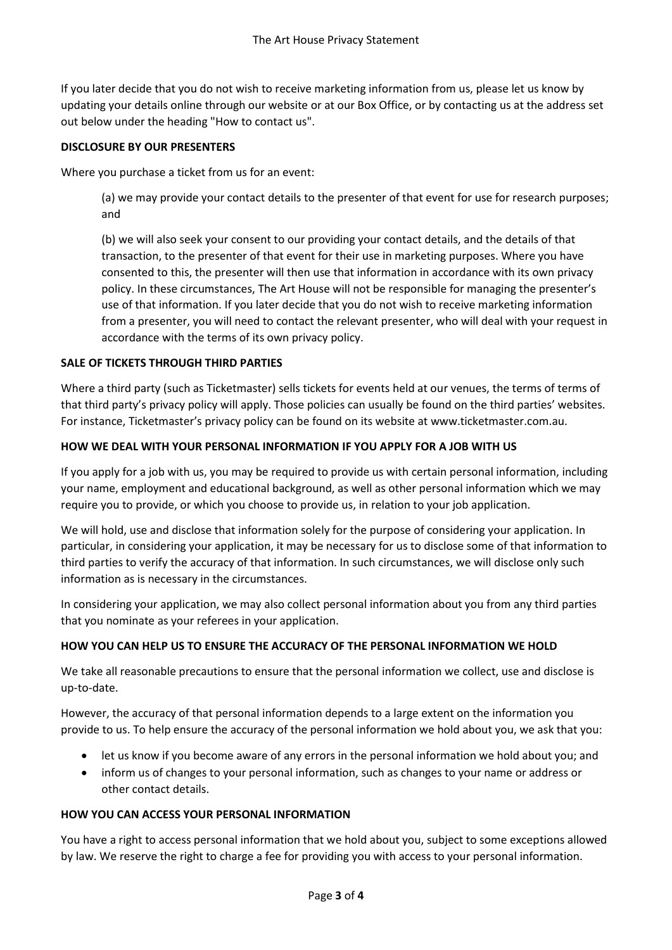If you later decide that you do not wish to receive marketing information from us, please let us know by updating your details online through our website or at our Box Office, or by contacting us at the address set out below under the heading "How to contact us".

#### **DISCLOSURE BY OUR PRESENTERS**

Where you purchase a ticket from us for an event:

(a) we may provide your contact details to the presenter of that event for use for research purposes; and

(b) we will also seek your consent to our providing your contact details, and the details of that transaction, to the presenter of that event for their use in marketing purposes. Where you have consented to this, the presenter will then use that information in accordance with its own privacy policy. In these circumstances, The Art House will not be responsible for managing the presenter's use of that information. If you later decide that you do not wish to receive marketing information from a presenter, you will need to contact the relevant presenter, who will deal with your request in accordance with the terms of its own privacy policy.

# **SALE OF TICKETS THROUGH THIRD PARTIES**

Where a third party (such as Ticketmaster) sells tickets for events held at our venues, the terms of terms of that third party's privacy policy will apply. Those policies can usually be found on the third parties' websites. For instance, Ticketmaster's privacy policy can be found on its website at www.ticketmaster.com.au.

# **HOW WE DEAL WITH YOUR PERSONAL INFORMATION IF YOU APPLY FOR A JOB WITH US**

If you apply for a job with us, you may be required to provide us with certain personal information, including your name, employment and educational background, as well as other personal information which we may require you to provide, or which you choose to provide us, in relation to your job application.

We will hold, use and disclose that information solely for the purpose of considering your application. In particular, in considering your application, it may be necessary for us to disclose some of that information to third parties to verify the accuracy of that information. In such circumstances, we will disclose only such information as is necessary in the circumstances.

In considering your application, we may also collect personal information about you from any third parties that you nominate as your referees in your application.

# **HOW YOU CAN HELP US TO ENSURE THE ACCURACY OF THE PERSONAL INFORMATION WE HOLD**

We take all reasonable precautions to ensure that the personal information we collect, use and disclose is up-to-date.

However, the accuracy of that personal information depends to a large extent on the information you provide to us. To help ensure the accuracy of the personal information we hold about you, we ask that you:

- let us know if you become aware of any errors in the personal information we hold about you; and
- inform us of changes to your personal information, such as changes to your name or address or other contact details.

#### **HOW YOU CAN ACCESS YOUR PERSONAL INFORMATION**

You have a right to access personal information that we hold about you, subject to some exceptions allowed by law. We reserve the right to charge a fee for providing you with access to your personal information.